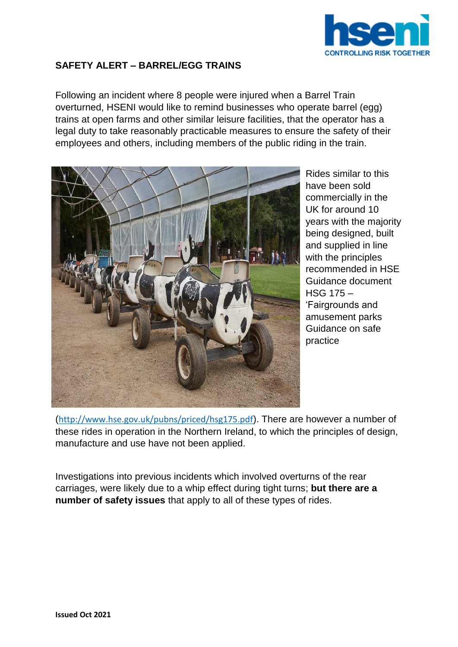

## **SAFETY ALERT – BARREL/EGG TRAINS**

Following an incident where 8 people were injured when a Barrel Train overturned, HSENI would like to remind businesses who operate barrel (egg) trains at open farms and other similar leisure facilities, that the operator has a legal duty to take reasonably practicable measures to ensure the safety of their employees and others, including members of the public riding in the train.



Rides similar to this have been sold commercially in the UK for around 10 years with the majority being designed, built and supplied in line with the principles recommended in HSE Guidance document HSG 175 – 'Fairgrounds and amusement parks Guidance on safe practice

(<http://www.hse.gov.uk/pubns/priced/hsg175.pdf>). There are however a number of these rides in operation in the Northern Ireland, to which the principles of design, manufacture and use have not been applied.

Investigations into previous incidents which involved overturns of the rear carriages, were likely due to a whip effect during tight turns; **but there are a number of safety issues** that apply to all of these types of rides.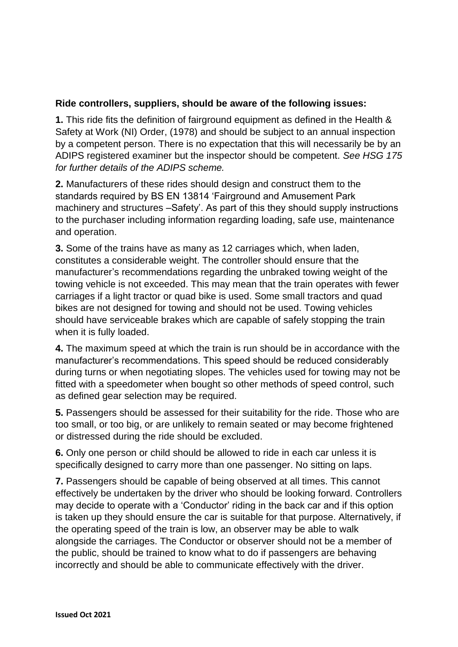## **Ride controllers, suppliers, should be aware of the following issues:**

**1.** This ride fits the definition of fairground equipment as defined in the Health & Safety at Work (NI) Order, (1978) and should be subject to an annual inspection by a competent person. There is no expectation that this will necessarily be by an ADIPS registered examiner but the inspector should be competent. *See HSG 175 for further details of the ADIPS scheme.* 

**2.** Manufacturers of these rides should design and construct them to the standards required by BS EN 13814 'Fairground and Amusement Park machinery and structures –Safety'. As part of this they should supply instructions to the purchaser including information regarding loading, safe use, maintenance and operation.

**3.** Some of the trains have as many as 12 carriages which, when laden, constitutes a considerable weight. The controller should ensure that the manufacturer's recommendations regarding the unbraked towing weight of the towing vehicle is not exceeded. This may mean that the train operates with fewer carriages if a light tractor or quad bike is used. Some small tractors and quad bikes are not designed for towing and should not be used. Towing vehicles should have serviceable brakes which are capable of safely stopping the train when it is fully loaded.

**4.** The maximum speed at which the train is run should be in accordance with the manufacturer's recommendations. This speed should be reduced considerably during turns or when negotiating slopes. The vehicles used for towing may not be fitted with a speedometer when bought so other methods of speed control, such as defined gear selection may be required.

**5.** Passengers should be assessed for their suitability for the ride. Those who are too small, or too big, or are unlikely to remain seated or may become frightened or distressed during the ride should be excluded.

**6.** Only one person or child should be allowed to ride in each car unless it is specifically designed to carry more than one passenger. No sitting on laps.

**7.** Passengers should be capable of being observed at all times. This cannot effectively be undertaken by the driver who should be looking forward. Controllers may decide to operate with a 'Conductor' riding in the back car and if this option is taken up they should ensure the car is suitable for that purpose. Alternatively, if the operating speed of the train is low, an observer may be able to walk alongside the carriages. The Conductor or observer should not be a member of the public, should be trained to know what to do if passengers are behaving incorrectly and should be able to communicate effectively with the driver.